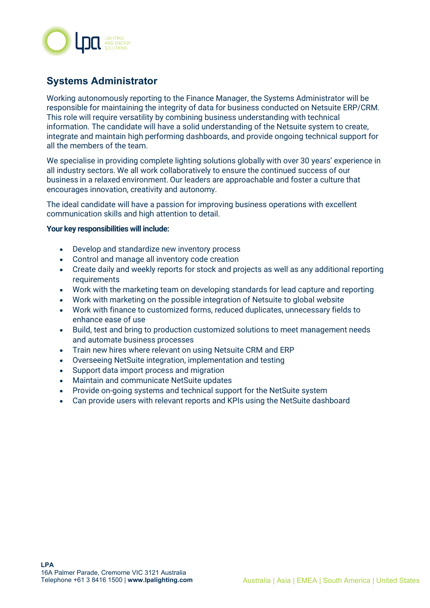

## **Systems Administrator**

Working autonomously reporting to the Finance Manager, the Systems Administrator will be responsible for maintaining the integrity of data for business conducted on Netsuite ERP/CRM. This role will require versatility by combining business understanding with technical information. The candidate will have a solid understanding of the Netsuite system to create, integrate and maintain high performing dashboards, and provide ongoing technical support for all the members of the team.

We specialise in providing complete lighting solutions globally with over 30 years' experience in all industry sectors. We all work collaboratively to ensure the continued success of our business in a relaxed environment. Our leaders are approachable and foster a culture that encourages innovation, creativity and autonomy.

The ideal candidate will have a passion for improving business operations with excellent communication skills and high attention to detail.

## **Your key responsibilities will include:**

- Develop and standardize new inventory process
- Control and manage all inventory code creation
- Create daily and weekly reports for stock and projects as well as any additional reporting requirements
- Work with the marketing team on developing standards for lead capture and reporting
- Work with marketing on the possible integration of Netsuite to global website
- Work with finance to customized forms, reduced duplicates, unnecessary fields to enhance ease of use
- Build, test and bring to production customized solutions to meet management needs and automate business processes
- Train new hires where relevant on using Netsuite CRM and ERP
- Overseeing NetSuite integration, implementation and testing
- Support data import process and migration
- Maintain and communicate NetSuite updates
- Provide on-going systems and technical support for the NetSuite system
- Can provide users with relevant reports and KPIs using the NetSuite dashboard